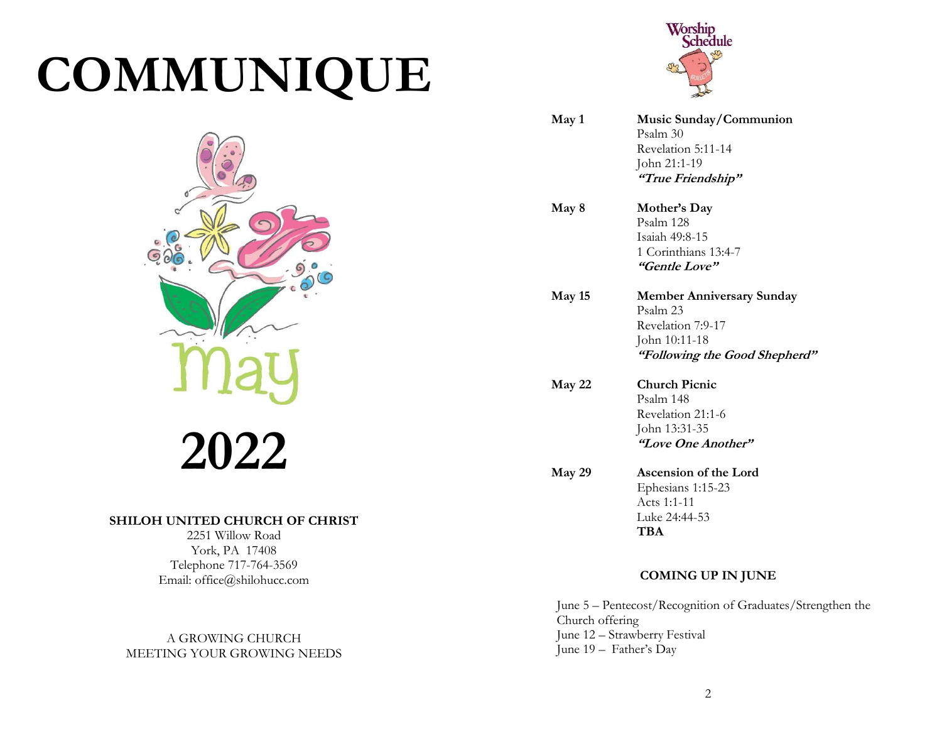# COMMUNIQUE



2022

#### SHILOH UNITED CHURCH OF CHRIST

2251 Willow Road York, PA 17408 Telephone 717-764-3569 Email: office@shilohucc.com

A GROWING CHURCH MEETING YOUR GROWING NEEDS



| May 1  | Music Sunday/Communion<br>Psalm 30<br>Revelation 5:11-14<br>John 21:1-19<br>"True Friendship"                       |
|--------|---------------------------------------------------------------------------------------------------------------------|
| May 8  | Mother's Day<br>Psalm 128<br>Isaiah 49:8-15<br>1 Corinthians 13:4-7<br>"Gentle Love"                                |
| May 15 | <b>Member Anniversary Sunday</b><br>Psalm 23<br>Revelation 7:9-17<br>John 10:11-18<br>"Following the Good Shepherd" |
| May 22 | <b>Church Picnic</b><br>Psalm 148<br>Revelation 21:1-6<br>John 13:31-35<br>"Love One Another"                       |
| May 29 | Ascension of the Lord<br>Ephesians 1:15-23<br>Acts 1:1-11<br>Luke 24:44-53<br>TBA                                   |

#### COMING UP IN JUNE

June 5 – Pentecost/Recognition of Graduates/Strengthen the Church offering June 12 – Strawberry Festival June 19 – Father's Day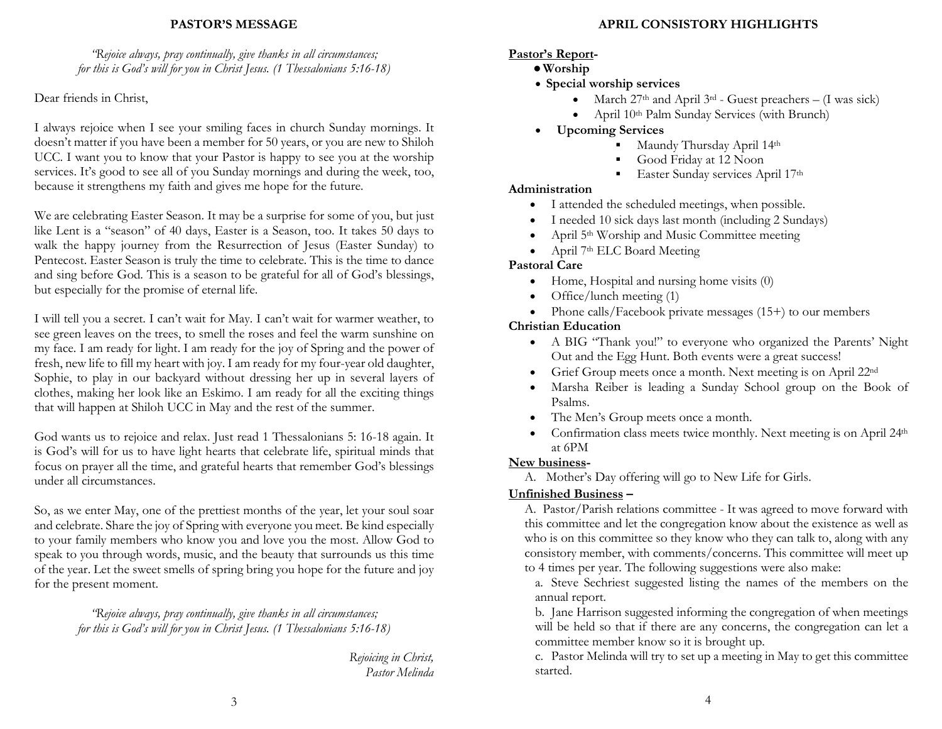#### PASTOR'S MESSAGE

"Rejoice always, pray continually, give thanks in all circumstances; for this is God's will for you in Christ Jesus. (1 Thessalonians 5:16-18)

Dear friends in Christ,

I always rejoice when I see your smiling faces in church Sunday mornings. It doesn't matter if you have been a member for 50 years, or you are new to Shiloh UCC. I want you to know that your Pastor is happy to see you at the worship services. It's good to see all of you Sunday mornings and during the week, too, because it strengthens my faith and gives me hope for the future.

We are celebrating Easter Season. It may be a surprise for some of you, but just like Lent is a "season" of 40 days, Easter is a Season, too. It takes 50 days to walk the happy journey from the Resurrection of Jesus (Easter Sunday) to Pentecost. Easter Season is truly the time to celebrate. This is the time to dance and sing before God. This is a season to be grateful for all of God's blessings, but especially for the promise of eternal life.

I will tell you a secret. I can't wait for May. I can't wait for warmer weather, to see green leaves on the trees, to smell the roses and feel the warm sunshine on my face. I am ready for light. I am ready for the joy of Spring and the power of fresh, new life to fill my heart with joy. I am ready for my four-year old daughter, Sophie, to play in our backyard without dressing her up in several layers of clothes, making her look like an Eskimo. I am ready for all the exciting things that will happen at Shiloh UCC in May and the rest of the summer.

God wants us to rejoice and relax. Just read 1 Thessalonians 5: 16-18 again. It is God's will for us to have light hearts that celebrate life, spiritual minds that focus on prayer all the time, and grateful hearts that remember God's blessings under all circumstances.

So, as we enter May, one of the prettiest months of the year, let your soul soar and celebrate. Share the joy of Spring with everyone you meet. Be kind especially to your family members who know you and love you the most. Allow God to speak to you through words, music, and the beauty that surrounds us this time of the year. Let the sweet smells of spring bring you hope for the future and joy for the present moment.

> "Rejoice always, pray continually, give thanks in all circumstances; for this is God's will for you in Christ Jesus. (1 Thessalonians 5:16-18)

> > Rejoicing in Christ, Pastor Melinda

# APRIL CONSISTORY HIGHLIGHTS

# Pastor's Report-

- Worship
- Special worship services
	- March  $27th$  and April  $3<sup>rd</sup>$  Guest preachers (I was sick)
	- April 10th Palm Sunday Services (with Brunch)
- Upcoming Services
	- Maundy Thursday April 14<sup>th</sup>
	- Good Friday at 12 Noon
	- **Easter Sunday services April 17th**

# Administration

- I attended the scheduled meetings, when possible.
- I needed 10 sick days last month (including 2 Sundays)
- April 5th Worship and Music Committee meeting
- April 7th ELC Board Meeting

# Pastoral Care

- Home, Hospital and nursing home visits (0)
- $\bullet$  Office/lunch meeting (1)
- Phone calls/Facebook private messages (15+) to our members

# Christian Education

- A BIG "Thank you!" to everyone who organized the Parents' Night Out and the Egg Hunt. Both events were a great success!
- Grief Group meets once a month. Next meeting is on April 22nd
- Marsha Reiber is leading a Sunday School group on the Book of Psalms.
- The Men's Group meets once a month.
- Confirmation class meets twice monthly. Next meeting is on April 24th at 6PM

# New business-

A. Mother's Day offering will go to New Life for Girls.

# Unfinished Business –

A. Pastor/Parish relations committee - It was agreed to move forward with this committee and let the congregation know about the existence as well as who is on this committee so they know who they can talk to, along with any consistory member, with comments/concerns. This committee will meet up to 4 times per year. The following suggestions were also make:

a. Steve Sechriest suggested listing the names of the members on the annual report.

b. Jane Harrison suggested informing the congregation of when meetings will be held so that if there are any concerns, the congregation can let a committee member know so it is brought up.

c. Pastor Melinda will try to set up a meeting in May to get this committee started.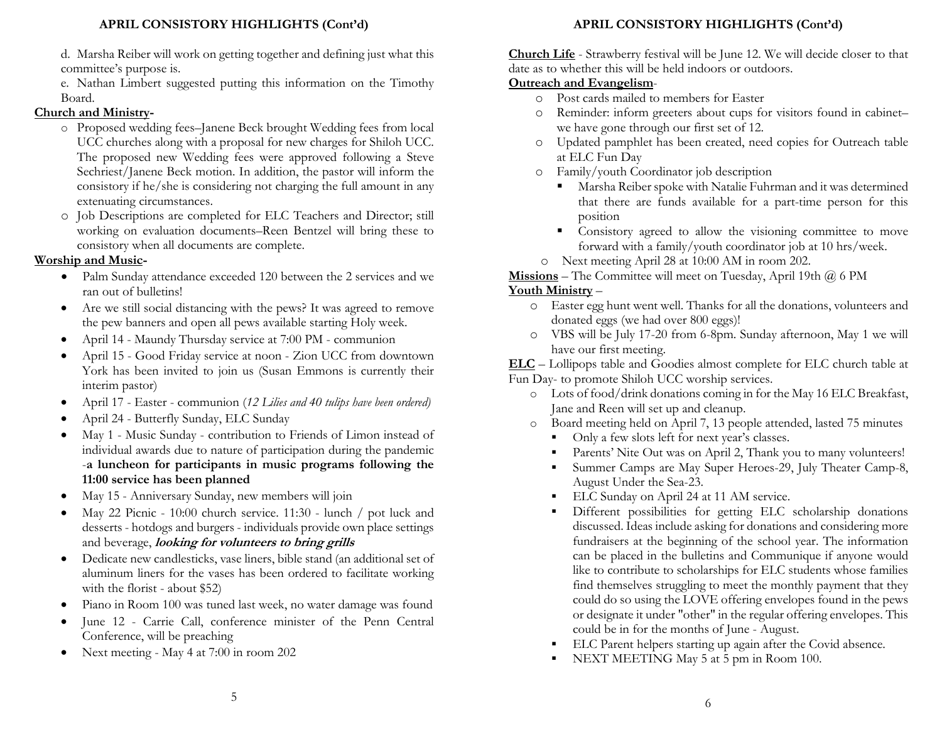d. Marsha Reiber will work on getting together and defining just what this committee's purpose is.

e. Nathan Limbert suggested putting this information on the Timothy Board.

# Church and Ministry-

- o Proposed wedding fees–Janene Beck brought Wedding fees from local UCC churches along with a proposal for new charges for Shiloh UCC. The proposed new Wedding fees were approved following a Steve Sechriest/Janene Beck motion. In addition, the pastor will inform the consistory if he/she is considering not charging the full amount in any extenuating circumstances.
- o Job Descriptions are completed for ELC Teachers and Director; still working on evaluation documents–Reen Bentzel will bring these to consistory when all documents are complete.

# Worship and Music-

- Palm Sunday attendance exceeded 120 between the 2 services and we ran out of bulletins!
- Are we still social distancing with the pews? It was agreed to remove the pew banners and open all pews available starting Holy week.
- April 14 Maundy Thursday service at 7:00 PM communion
- April 15 Good Friday service at noon Zion UCC from downtown York has been invited to join us (Susan Emmons is currently their interim pastor)
- April 17 Easter communion (12 Lilies and 40 tulips have been ordered)
- April 24 Butterfly Sunday, ELC Sunday
- May 1 Music Sunday contribution to Friends of Limon instead of individual awards due to nature of participation during the pandemic -a luncheon for participants in music programs following the 11:00 service has been planned
- May 15 Anniversary Sunday, new members will join
- May 22 Picnic 10:00 church service. 11:30 lunch / pot luck and desserts - hotdogs and burgers - individuals provide own place settings and beverage, *looking for volunteers to bring grills*
- Dedicate new candlesticks, vase liners, bible stand (an additional set of aluminum liners for the vases has been ordered to facilitate working with the florist - about \$52)
- Piano in Room 100 was tuned last week, no water damage was found
- June 12 Carrie Call, conference minister of the Penn Central Conference, will be preaching
- Next meeting May 4 at 7:00 in room 202

# APRIL CONSISTORY HIGHLIGHTS (Cont'd)

Church Life - Strawberry festival will be June 12. We will decide closer to that date as to whether this will be held indoors or outdoors.

# Outreach and Evangelism-

- o Post cards mailed to members for Easter
- o Reminder: inform greeters about cups for visitors found in cabinet– we have gone through our first set of 12.
- o Updated pamphlet has been created, need copies for Outreach table at ELC Fun Day
- o Family/youth Coordinator job description
	- Marsha Reiber spoke with Natalie Fuhrman and it was determined that there are funds available for a part-time person for this position
	- **Consistory agreed to allow the visioning committee to move** forward with a family/youth coordinator job at 10 hrs/week.
- o Next meeting April 28 at 10:00 AM in room 202.

**Missions** – The Committee will meet on Tuesday, April 19th  $\omega$  6 PM

# Youth Ministry –

- o Easter egg hunt went well. Thanks for all the donations, volunteers and donated eggs (we had over 800 eggs)!
- o VBS will be July 17-20 from 6-8pm. Sunday afternoon, May 1 we will have our first meeting.

ELC – Lollipops table and Goodies almost complete for ELC church table at Fun Day- to promote Shiloh UCC worship services.

- o Lots of food/drink donations coming in for the May 16 ELC Breakfast, Jane and Reen will set up and cleanup.
- o Board meeting held on April 7, 13 people attended, lasted 75 minutes
	- Only a few slots left for next year's classes.
	- Parents' Nite Out was on April 2, Thank you to many volunteers!
	- Summer Camps are May Super Heroes-29, July Theater Camp-8, August Under the Sea-23.
	- ELC Sunday on April 24 at 11 AM service.
	- Different possibilities for getting ELC scholarship donations discussed. Ideas include asking for donations and considering more fundraisers at the beginning of the school year. The information can be placed in the bulletins and Communique if anyone would like to contribute to scholarships for ELC students whose families find themselves struggling to meet the monthly payment that they could do so using the LOVE offering envelopes found in the pews or designate it under "other" in the regular offering envelopes. This could be in for the months of June - August.
	- ELC Parent helpers starting up again after the Covid absence.
	- NEXT MEETING May 5 at 5 pm in Room 100.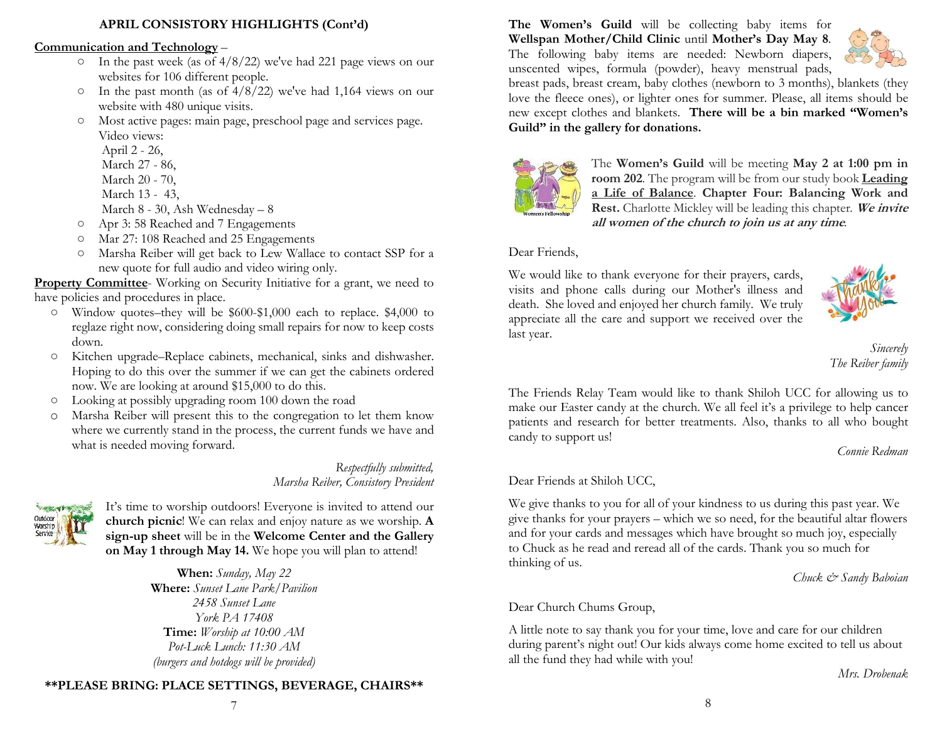#### APRIL CONSISTORY HIGHLIGHTS (Cont'd)

#### Communication and Technology –

- $\circ$  In the past week (as of 4/8/22) we've had 221 page views on our websites for 106 different people.
- $\circ$  In the past month (as of 4/8/22) we've had 1,164 views on our website with 480 unique visits.
- Most active pages: main page, preschool page and services page. Video views:
	- April 2 26,
	- March 27 86,
	- March 20 70,
	- March 13 43,
	- March 8 30, Ash Wednesday 8
- Apr 3: 58 Reached and 7 Engagements
- Mar 27: 108 Reached and 25 Engagements
- Marsha Reiber will get back to Lew Wallace to contact SSP for a new quote for full audio and video wiring only.

Property Committee- Working on Security Initiative for a grant, we need to have policies and procedures in place.

- Window quotes–they will be \$600-\$1,000 each to replace. \$4,000 to reglaze right now, considering doing small repairs for now to keep costs down.
- Kitchen upgrade–Replace cabinets, mechanical, sinks and dishwasher. Hoping to do this over the summer if we can get the cabinets ordered now. We are looking at around \$15,000 to do this.
- Looking at possibly upgrading room 100 down the road
- o Marsha Reiber will present this to the congregation to let them know where we currently stand in the process, the current funds we have and what is needed moving forward.

Respectfully submitted, Marsha Reiber, Consistory President



It's time to worship outdoors! Everyone is invited to attend our church picnic! We can relax and enjoy nature as we worship. A sign-up sheet will be in the Welcome Center and the Gallery on May 1 through May 14. We hope you will plan to attend!

> When: Sunday, May 22 Where: Sunset Lane Park/Pavilion 2458 Sunset Lane York PA 17408 Time: Worship at 10:00 AM Pot-Luck Lunch: 11:30 AM (burgers and hotdogs will be provided)

#### \*\*PLEASE BRING: PLACE SETTINGS, BEVERAGE, CHAIRS\*\*

The Women's Guild will be collecting baby items for Wellspan Mother/Child Clinic until Mother's Day May 8. The following baby items are needed: Newborn diapers, unscented wipes, formula (powder), heavy menstrual pads,



breast pads, breast cream, baby clothes (newborn to 3 months), blankets (they love the fleece ones), or lighter ones for summer. Please, all items should be new except clothes and blankets. There will be a bin marked "Women's Guild" in the gallery for donations.



The Women's Guild will be meeting May 2 at 1:00 pm in room 202. The program will be from our study book Leading a Life of Balance. Chapter Four: Balancing Work and Rest. Charlotte Mickley will be leading this chapter. We invite all women of the church to join us at any time.

#### Dear Friends,

We would like to thank everyone for their prayers, cards, visits and phone calls during our Mother's illness and death. She loved and enjoyed her church family. We truly appreciate all the care and support we received over the last year.



Sincerely The Reiber family

The Friends Relay Team would like to thank Shiloh UCC for allowing us to make our Easter candy at the church. We all feel it's a privilege to help cancer patients and research for better treatments. Also, thanks to all who bought candy to support us!

Connie Redman

#### Dear Friends at Shiloh UCC,

We give thanks to you for all of your kindness to us during this past year. We give thanks for your prayers – which we so need, for the beautiful altar flowers and for your cards and messages which have brought so much joy, especially to Chuck as he read and reread all of the cards. Thank you so much for thinking of us.

Chuck & Sandy Baboian

#### Dear Church Chums Group,

A little note to say thank you for your time, love and care for our children during parent's night out! Our kids always come home excited to tell us about all the fund they had while with you!

Mrs. Drobenak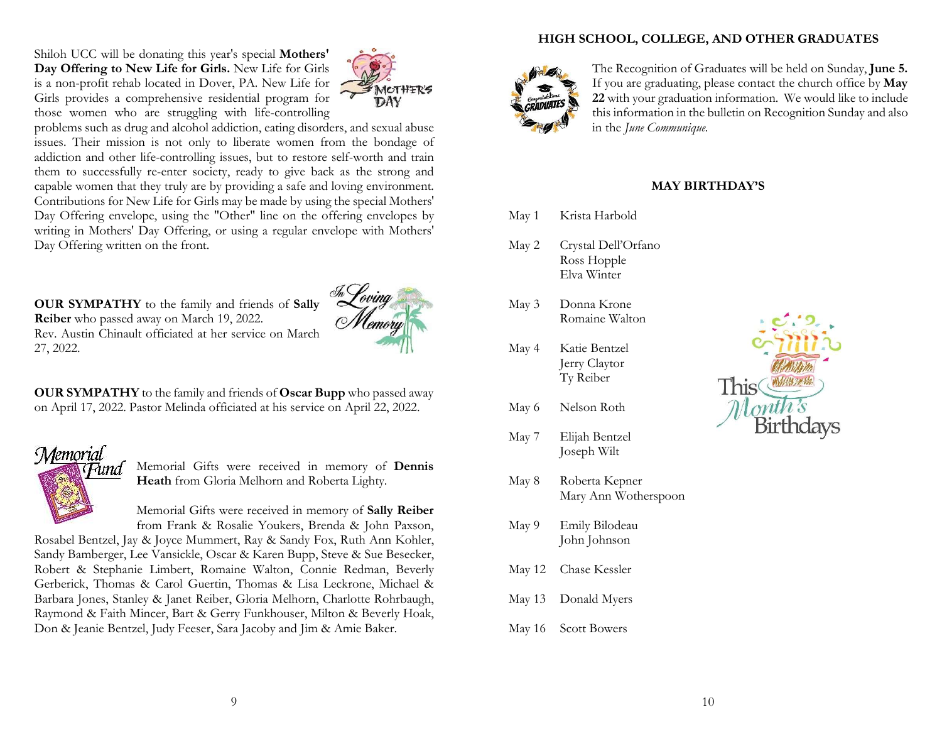Shiloh UCC will be donating this year's special Mothers' Day Offering to New Life for Girls. New Life for Girls is a non-profit rehab located in Dover, PA. New Life for Girls provides a comprehensive residential program for those women who are struggling with life-controlling



problems such as drug and alcohol addiction, eating disorders, and sexual abuse issues. Their mission is not only to liberate women from the bondage of addiction and other life-controlling issues, but to restore self-worth and train them to successfully re-enter society, ready to give back as the strong and capable women that they truly are by providing a safe and loving environment. Contributions for New Life for Girls may be made by using the special Mothers' Day Offering envelope, using the "Other" line on the offering envelopes by writing in Mothers' Day Offering, or using a regular envelope with Mothers' Day Offering written on the front.

OUR SYMPATHY to the family and friends of Sally Reiber who passed away on March 19, 2022. Rev. Austin Chinault officiated at her service on March 27, 2022.



OUR SYMPATHY to the family and friends of Oscar Bupp who passed away on April 17, 2022. Pastor Melinda officiated at his service on April 22, 2022.

# **Memorial** -una

Memorial Gifts were received in memory of Dennis Heath from Gloria Melhorn and Roberta Lighty.

Memorial Gifts were received in memory of Sally Reiber from Frank & Rosalie Youkers, Brenda & John Paxson,

Rosabel Bentzel, Jay & Joyce Mummert, Ray & Sandy Fox, Ruth Ann Kohler, Sandy Bamberger, Lee Vansickle, Oscar & Karen Bupp, Steve & Sue Besecker, Robert & Stephanie Limbert, Romaine Walton, Connie Redman, Beverly Gerberick, Thomas & Carol Guertin, Thomas & Lisa Leckrone, Michael & Barbara Jones, Stanley & Janet Reiber, Gloria Melhorn, Charlotte Rohrbaugh, Raymond & Faith Mincer, Bart & Gerry Funkhouser, Milton & Beverly Hoak, Don & Jeanie Bentzel, Judy Feeser, Sara Jacoby and Jim & Amie Baker.

# HIGH SCHOOL, COLLEGE, AND OTHER GRADUATES



The Recognition of Graduates will be held on Sunday, June 5. If you are graduating, please contact the church office by May 22 with your graduation information. We would like to include this information in the bulletin on Recognition Sunday and also in the June Communique.

#### MAY BIRTHDAY'S

May 1 Krista Harbold

- May 2 Crystal Dell'Orfano Ross Hopple Elva Winter
- May 3 Donna Krone Romaine Walton
- May 4 Katie Bentzel Jerry Claytor Ty Reiber
- May 6 Nelson Roth
- May 7 Elijah Bentzel Joseph Wilt
- May 8 Roberta Kepner Mary Ann Wotherspoon
- May 9 Emily Bilodeau John Johnson
- May 12 Chase Kessler
- May 13 Donald Myers
- May 16 Scott Bowers